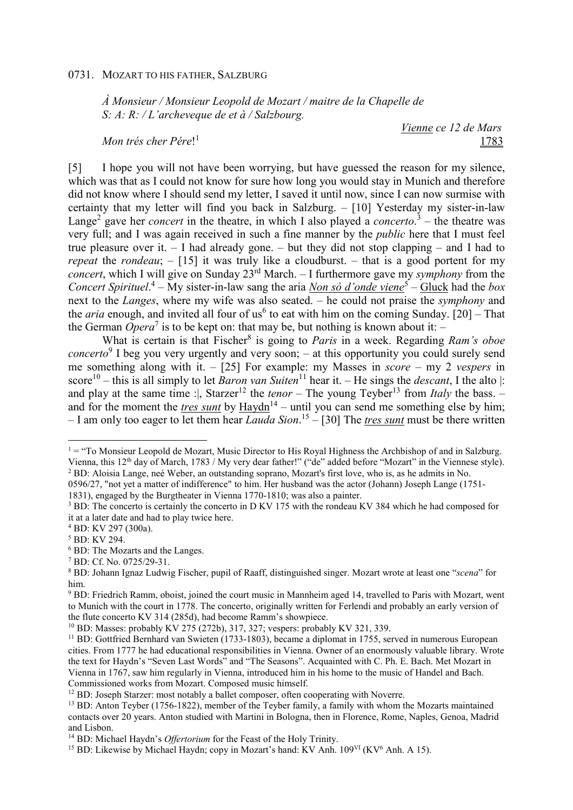*À Monsieur / Monsieur Leopold de Mozart / maitre de la Chapelle de S: A: R: / L'archeveque de et à / Salzbourg.* 

*Mon trés cher Pére*! 1

 *Vienne ce 12 de Mars*  <u>1783</u>

[5] I hope you will not have been worrying, but have guessed the reason for my silence, which was that as I could not know for sure how long you would stay in Munich and therefore did not know where I should send my letter, I saved it until now, since I can now surmise with certainty that my letter will find you back in Salzburg. – [10] Yesterday my sister-in-law Lange<sup>2</sup> gave her *concert* in the theatre, in which I also played a *concerto*.<sup>3</sup> – the theatre was very full; and I was again received in such a fine manner by the *public* here that I must feel true pleasure over it. – I had already gone. – but they did not stop clapping – and I had to *repeat* the *rondeau*; – [15] it was truly like a cloudburst. – that is a good portent for my *concert*, which I will give on Sunday 23rd March. – I furthermore gave my *symphony* from the *Concert Spirituel*. 4 – My sister-in-law sang the aria *Non sò d'onde viene*<sup>5</sup> – Gluck had the *box* next to the *Langes*, where my wife was also seated. – he could not praise the *symphony* and the *aria* enough, and invited all four of us<sup>6</sup> to eat with him on the coming Sunday. [20] – That the German *Opera*<sup>7</sup> is to be kept on: that may be, but nothing is known about it:  $-$ 

What is certain is that Fischer<sup>8</sup> is going to *Paris* in a week. Regarding *Ram's oboe concerto*<sup>9</sup> I beg you very urgently and very soon; – at this opportunity you could surely send me something along with it. – [25] For example: my Masses in *score* – my 2 *vespers* in score<sup>10</sup> – this is all simply to let *Baron van Suiten*<sup>11</sup> hear it. – He sings the *descant*, I the alto |: and play at the same time :|, Starzer<sup>12</sup> the *tenor* – The young Teyber<sup>13</sup> from *Italy* the bass. – and for the moment the <u>tres sunt</u> by  $\frac{\text{Haydn}}{4}$  – until you can send me something else by him; – I am only too eager to let them hear *Lauda Sion*. <sup>15</sup> – [30] The *tres sunt* must be there written

 $\overline{a}$ 

 $1 =$  "To Monsieur Leopold de Mozart, Music Director to His Royal Highness the Archbishop of and in Salzburg. Vienna, this 12th day of March, 1783 / My very dear father!" ("de" added before "Mozart" in the Viennese style). <sup>2</sup> BD: Aloisia Lange, neé Weber, an outstanding soprano, Mozart's first love, who is, as he admits in No.

<sup>0596/27, &</sup>quot;not yet a matter of indifference" to him. Her husband was the actor (Johann) Joseph Lange (1751- 1831), engaged by the Burgtheater in Vienna 1770-1810; was also a painter.

<sup>&</sup>lt;sup>3</sup> BD: The concerto is certainly the concerto in D KV 175 with the rondeau KV 384 which he had composed for it at a later date and had to play twice here.

<sup>4</sup> BD: KV 297 (300a).

<sup>5</sup> BD: KV 294.

<sup>6</sup> BD: The Mozarts and the Langes.

<sup>7</sup> BD: Cf. No. 0725/29-31.

<sup>8</sup> BD: Johann Ignaz Ludwig Fischer, pupil of Raaff, distinguished singer. Mozart wrote at least one "*scena*" for him.

<sup>&</sup>lt;sup>9</sup> BD: Friedrich Ramm, oboist, joined the court music in Mannheim aged 14, travelled to Paris with Mozart, went to Munich with the court in 1778. The concerto, originally written for Ferlendi and probably an early version of the flute concerto KV 314 (285d), had become Ramm's showpiece.

<sup>10</sup> BD: Masses: probably KV 275 (272b), 317, 327; vespers: probably KV 321, 339.

<sup>11</sup> BD: Gottfried Bernhard van Swieten (1733-1803), became a diplomat in 1755, served in numerous European cities. From 1777 he had educational responsibilities in Vienna. Owner of an enormously valuable library. Wrote the text for Haydn's "Seven Last Words" and "The Seasons". Acquainted with C. Ph. E. Bach. Met Mozart in Vienna in 1767, saw him regularly in Vienna, introduced him in his home to the music of Handel and Bach. Commissioned works from Mozart. Composed music himself.

 $12$  BD: Joseph Starzer: most notably a ballet composer, often cooperating with Noverre.

<sup>&</sup>lt;sup>13</sup> BD: Anton Teyber (1756-1822), member of the Teyber family, a family with whom the Mozarts maintained contacts over 20 years. Anton studied with Martini in Bologna, then in Florence, Rome, Naples, Genoa, Madrid and Lisbon.

<sup>&</sup>lt;sup>14</sup> BD: Michael Haydn's *Offertorium* for the Feast of the Holy Trinity.

<sup>&</sup>lt;sup>15</sup> BD: Likewise by Michael Haydn; copy in Mozart's hand: KV Anh. 109<sup>VI</sup> (KV<sup>6</sup> Anh. A 15).